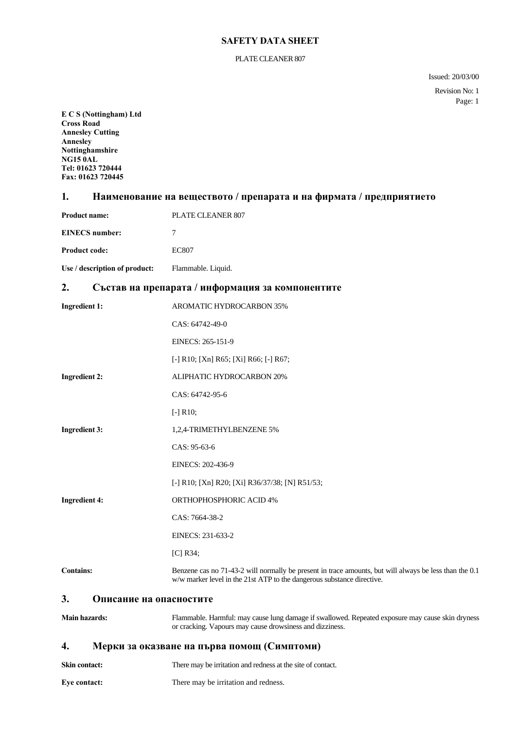#### PLATE CLEANER 807

Issued: 20/03/00

Revision No: 1 Page: 1

**E C S (Nottingham) Ltd Cross Road Annesley Cutting Annesley Nottinghamshire NG15 0AL Tel: 01623 720444 Fax: 01623 720445**

## **1. Наименование на веществото / препарата и на фирмата / предприятието**

| <b>Product name:</b>          | PLATE CLEANER 807  |
|-------------------------------|--------------------|
| <b>EINECS</b> number:         |                    |
| <b>Product code:</b>          | EC807              |
| Use / description of product: | Flammable. Liquid. |

## **2. Състав на препарата / информация за компонентите**

| <b>Ingredient 1:</b>          | <b>AROMATIC HYDROCARBON 35%</b>                                                                                                                                                  |
|-------------------------------|----------------------------------------------------------------------------------------------------------------------------------------------------------------------------------|
|                               | CAS: 64742-49-0                                                                                                                                                                  |
|                               | EINECS: 265-151-9                                                                                                                                                                |
|                               | [-] R10; [Xn] R65; [Xi] R66; [-] R67;                                                                                                                                            |
| <b>Ingredient 2:</b>          | ALIPHATIC HYDROCARBON 20%                                                                                                                                                        |
|                               | CAS: 64742-95-6                                                                                                                                                                  |
|                               | $[-]$ R10;                                                                                                                                                                       |
| <b>Ingredient 3:</b>          | 1,2,4-TRIMETHYLBENZENE 5%                                                                                                                                                        |
|                               | CAS: 95-63-6                                                                                                                                                                     |
|                               | EINECS: 202-436-9                                                                                                                                                                |
|                               | [-] R10; [Xn] R20; [Xi] R36/37/38; [N] R51/53;                                                                                                                                   |
| <b>Ingredient 4:</b>          | ORTHOPHOSPHORIC ACID 4%                                                                                                                                                          |
|                               | CAS: 7664-38-2                                                                                                                                                                   |
|                               | EINECS: 231-633-2                                                                                                                                                                |
|                               | $[C]$ R34;                                                                                                                                                                       |
| <b>Contains:</b>              | Benzene cas no 71-43-2 will normally be present in trace amounts, but will always be less than the 0.1<br>w/w marker level in the 21st ATP to the dangerous substance directive. |
| 3.<br>Описание на опасностите |                                                                                                                                                                                  |
| <b>Main hazards:</b>          | Flammable. Harmful: may cause lung damage if swallowed. Repeated exposure may cause skin dryness<br>or cracking. Vapours may cause drowsiness and dizziness.                     |

## **4. Мерки за оказване на първа помощ (Симптоми)**

**Skin contact:** There may be irritation and redness at the site of contact.

**Eye contact:** There may be irritation and redness.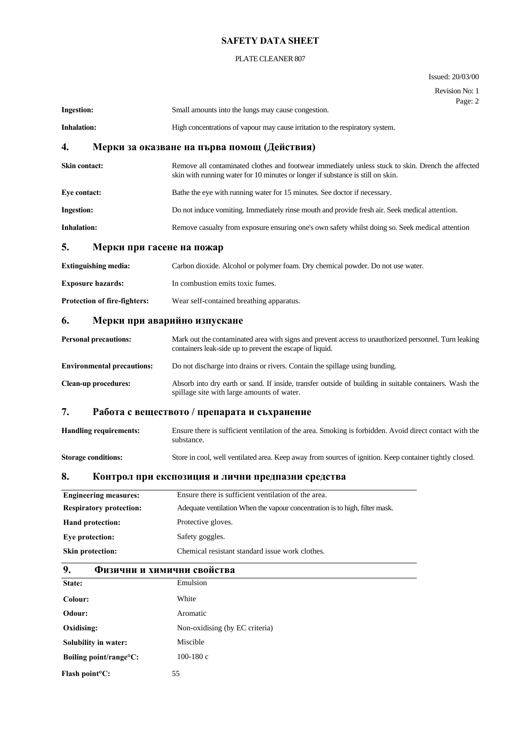## PLATE CLEANER 807

Issued: 20/03/00

|                                                                         | Revision No: 1<br>Page: 2                                                                                                                                                             |
|-------------------------------------------------------------------------|---------------------------------------------------------------------------------------------------------------------------------------------------------------------------------------|
| <b>Ingestion:</b>                                                       | Small amounts into the lungs may cause congestion.                                                                                                                                    |
| <b>Inhalation:</b>                                                      | High concentrations of vapour may cause irritation to the respiratory system.                                                                                                         |
| 4.                                                                      | Мерки за оказване на първа помощ (Действия)                                                                                                                                           |
| Skin contact:                                                           | Remove all contaminated clothes and footwear immediately unless stuck to skin. Drench the affected<br>skin with running water for 10 minutes or longer if substance is still on skin. |
| Eye contact:                                                            | Bathe the eye with running water for 15 minutes. See doctor if necessary.                                                                                                             |
| <b>Ingestion:</b>                                                       | Do not induce vomiting. Immediately rinse mouth and provide fresh air. Seek medical attention.                                                                                        |
| <b>Inhalation:</b>                                                      | Remove casualty from exposure ensuring one's own safety whilst doing so. Seek medical attention                                                                                       |
| 5.<br>Мерки при гасене на пожар                                         |                                                                                                                                                                                       |
| <b>Extinguishing media:</b>                                             | Carbon dioxide. Alcohol or polymer foam. Dry chemical powder. Do not use water.                                                                                                       |
| <b>Exposure hazards:</b>                                                | In combustion emits toxic fumes.                                                                                                                                                      |
| Protection of fire-fighters:                                            | Wear self-contained breathing apparatus.                                                                                                                                              |
| 6.                                                                      | Мерки при аварийно изпускане                                                                                                                                                          |
| <b>Personal precautions:</b>                                            | Mark out the contaminated area with signs and prevent access to unauthorized personnel. Turn leaking<br>containers leak-side up to prevent the escape of liquid.                      |
| <b>Environmental precautions:</b>                                       | Do not discharge into drains or rivers. Contain the spillage using bunding.                                                                                                           |
| <b>Clean-up procedures:</b>                                             | Absorb into dry earth or sand. If inside, transfer outside of building in suitable containers. Wash the<br>spillage site with large amounts of water.                                 |
| 7.                                                                      | Работа с веществото / препарата и съхранение                                                                                                                                          |
| <b>Handling requirements:</b>                                           | Ensure there is sufficient ventilation of the area. Smoking is forbidden. Avoid direct contact with the<br>substance.                                                                 |
| <b>Storage conditions:</b>                                              | Store in cool, well ventilated area. Keep away from sources of ignition. Keep container tightly closed.                                                                               |
| $T^{\prime}$<br>8.<br>Контрол при експозиция и лични предпазни средства |                                                                                                                                                                                       |
| <b>Engineering measures:</b>                                            | Ensure there is sufficient ventilation of the area.                                                                                                                                   |
| <b>Respiratory protection:</b>                                          | Adequate ventilation When the vapour concentration is to high, filter mask.                                                                                                           |
| <b>Hand protection:</b>                                                 | Protective gloves.                                                                                                                                                                    |
| Eye protection:                                                         | Safety goggles.                                                                                                                                                                       |
| <b>Skin protection:</b>                                                 | Chemical resistant standard issue work clothes.                                                                                                                                       |
| 9.                                                                      | Физични и химични свойства                                                                                                                                                            |
| State:                                                                  | Emulsion                                                                                                                                                                              |
| Colour:                                                                 | White                                                                                                                                                                                 |
| Odour:                                                                  | Aromatic                                                                                                                                                                              |

| Odour:                            | Aromatic                       |
|-----------------------------------|--------------------------------|
| Oxidising:                        | Non-oxidising (by EC criteria) |
| Solubility in water:              | Miscible                       |
| Boiling point/range $\rm ^{o}C$ : | 100-180 $c$                    |
|                                   |                                |

**Flash point°C:** 55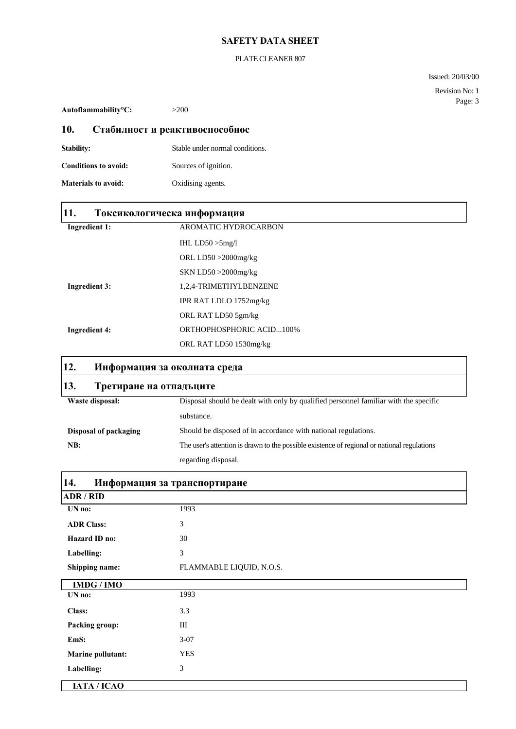#### PLATE CLEANER 807

Issued: 20/03/00

Revision No: 1 Page: 3

**Autoflammability°C:** >200

Г

П

## **10. Стабилност и реактивоспособнос**

| <b>Stability:</b>           | Stable under normal conditions. |
|-----------------------------|---------------------------------|
| <b>Conditions to avoid:</b> | Sources of ignition.            |
| <b>Materials to avoid:</b>  | Oxidising agents.               |

| 11.                  | Токсикологическа информация |
|----------------------|-----------------------------|
| <b>Ingredient 1:</b> | <b>AROMATIC HYDROCARBON</b> |
|                      | IHL $LD50 > 5mg/l$          |
|                      | ORL $LD50 > 2000$ mg/kg     |
|                      | $SKN LDS0 > 2000$ mg/kg     |
| <b>Ingredient 3:</b> | 1,2,4-TRIMETHYLBENZENE      |
|                      | IPR RAT LDLO 1752mg/kg      |
|                      | ORL RAT LD50 5gm/kg         |
| <b>Ingredient 4:</b> | ORTHOPHOSPHORIC ACID100%    |
|                      | ORL RAT LD50 1530mg/kg      |

# **12. Информация за околната среда 13. Третиране на отпадъците** Waste disposal: Disposal should be dealt with only by qualified personnel familiar with the specific substance. **Disposal of packaging** Should be disposed of in accordance with national regulations. **NB:** The user's attention is drawn to the possible existence of regional or national regulations regarding disposal.

| 14.<br>Информация за транспортиране |                          |
|-------------------------------------|--------------------------|
| <b>ADR/RID</b>                      |                          |
| UN no:                              | 1993                     |
| <b>ADR Class:</b>                   | 3                        |
| Hazard ID no:                       | 30                       |
| Labelling:                          | 3                        |
| Shipping name:                      | FLAMMABLE LIQUID, N.O.S. |
| <b>IMDG/IMO</b>                     |                          |
| UN no:                              | 1993                     |
| <b>Class:</b>                       | 3.3                      |
| Packing group:                      | III                      |
| EmS:                                | $3-07$                   |
| <b>Marine pollutant:</b>            | <b>YES</b>               |
| Labelling:                          | 3                        |
| IATA / ICAO                         |                          |